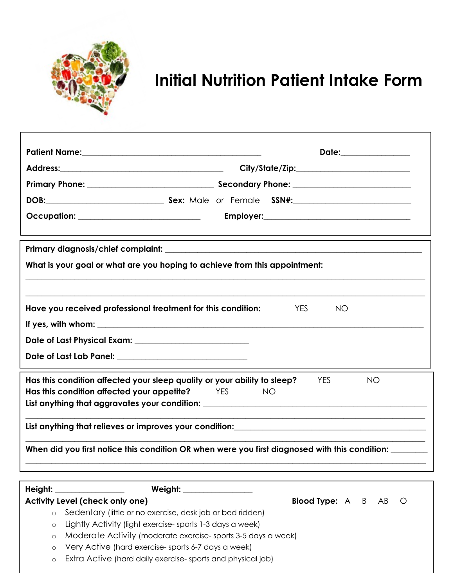

# **Initial Nutrition Patient Intake Form**

|                                                                                                                                                                                                                                                                                                                                                                                                     | Date:_______________              |  |  |  |
|-----------------------------------------------------------------------------------------------------------------------------------------------------------------------------------------------------------------------------------------------------------------------------------------------------------------------------------------------------------------------------------------------------|-----------------------------------|--|--|--|
|                                                                                                                                                                                                                                                                                                                                                                                                     |                                   |  |  |  |
|                                                                                                                                                                                                                                                                                                                                                                                                     |                                   |  |  |  |
|                                                                                                                                                                                                                                                                                                                                                                                                     |                                   |  |  |  |
| Occupation: _____________________________                                                                                                                                                                                                                                                                                                                                                           |                                   |  |  |  |
|                                                                                                                                                                                                                                                                                                                                                                                                     |                                   |  |  |  |
| What is your goal or what are you hoping to achieve from this appointment:                                                                                                                                                                                                                                                                                                                          |                                   |  |  |  |
|                                                                                                                                                                                                                                                                                                                                                                                                     |                                   |  |  |  |
| Have you received professional treatment for this condition:                                                                                                                                                                                                                                                                                                                                        | <b>YES</b><br><b>NO</b>           |  |  |  |
|                                                                                                                                                                                                                                                                                                                                                                                                     |                                   |  |  |  |
|                                                                                                                                                                                                                                                                                                                                                                                                     |                                   |  |  |  |
| Date of Last Lab Panel: ___________________________________                                                                                                                                                                                                                                                                                                                                         |                                   |  |  |  |
| Has this condition affected your sleep quality or your ability to sleep?<br><b>YES</b><br>NO<br>Has this condition affected your appetite?<br><b>ES</b><br>NO.<br>List anything that aggravates your condition: ___________________________________                                                                                                                                                 |                                   |  |  |  |
| List anything that relieves or improves your condition:<br>List anything that relieves or improves your condition:                                                                                                                                                                                                                                                                                  |                                   |  |  |  |
| When did you first notice this condition OR when were you first diagnosed with this condition: _______                                                                                                                                                                                                                                                                                              |                                   |  |  |  |
|                                                                                                                                                                                                                                                                                                                                                                                                     |                                   |  |  |  |
| Height:                                                                                                                                                                                                                                                                                                                                                                                             |                                   |  |  |  |
| Activity Level (check only one)<br>Sedentary (little or no exercise, desk job or bed ridden)<br>$\circ$<br>Lightly Activity (light exercise-sports 1-3 days a week)<br>$\circ$<br>Moderate Activity (moderate exercise-sports 3-5 days a week)<br>$\circ$<br>Very Active (hard exercise-sports 6-7 days a week)<br>$\circ$<br>Extra Active (hard daily exercise-sports and physical job)<br>$\circ$ | <b>Blood Type:</b> A B<br>AB<br>Ő |  |  |  |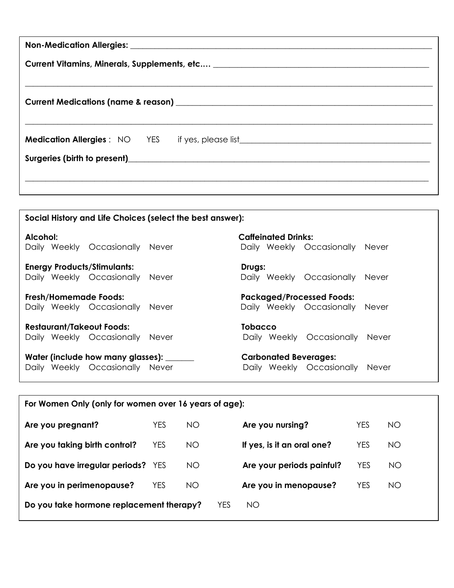| Current Vitamins, Minerals, Supplements, etc ________________________________ |  |  |  |  |
|-------------------------------------------------------------------------------|--|--|--|--|
|                                                                               |  |  |  |  |
|                                                                               |  |  |  |  |
| <b>Medication Allergies</b> : NO YES if yes, please list                      |  |  |  |  |
|                                                                               |  |  |  |  |
|                                                                               |  |  |  |  |
|                                                                               |  |  |  |  |

| Social History and Life Choices (select the best answer): |                                           |  |  |  |
|-----------------------------------------------------------|-------------------------------------------|--|--|--|
| Alcohol:                                                  | <b>Caffeinated Drinks:</b>                |  |  |  |
| Daily Weekly Occasionally<br>Never                        | Daily Weekly Occasionally<br><b>Never</b> |  |  |  |
| <b>Energy Products/Stimulants:</b>                        | Drugs:                                    |  |  |  |
| Daily Weekly Occasionally<br>Never                        | Daily Weekly Occasionally<br>Never        |  |  |  |
| Fresh/Homemade Foods:                                     | <b>Packaged/Processed Foods:</b>          |  |  |  |
| Daily Weekly Occasionally<br>Never                        | Daily Weekly Occasionally Never           |  |  |  |
| <b>Restaurant/Takeout Foods:</b>                          | Tobacco                                   |  |  |  |
| Daily Weekly Occasionally<br>Never                        | Daily Weekly Occasionally<br>Never        |  |  |  |
| Water (include how many glasses): ______                  | <b>Carbonated Beverages:</b>              |  |  |  |
| Daily Weekly Occasionally Never                           | Daily Weekly Occasionally<br>Never        |  |  |  |
|                                                           |                                           |  |  |  |

| For Women Only (only for women over 16 years of age): |            |           |            |                            |            |     |
|-------------------------------------------------------|------------|-----------|------------|----------------------------|------------|-----|
| Are you pregnant?                                     | YES        | <b>NO</b> |            | Are you nursing?           | <b>YES</b> | NO. |
| Are you taking birth control?                         | <b>YES</b> | NO        |            | If yes, is it an oral one? | <b>YES</b> | NO  |
| Do you have irregular periods? YES                    |            | <b>NO</b> |            | Are your periods painful?  | <b>YES</b> | NO  |
| Are you in perimenopause?                             | YES        | <b>NO</b> |            | Are you in menopause?      | YES        | NO  |
| Do you take hormone replacement therapy?              |            |           | <b>YES</b> | <b>NO</b>                  |            |     |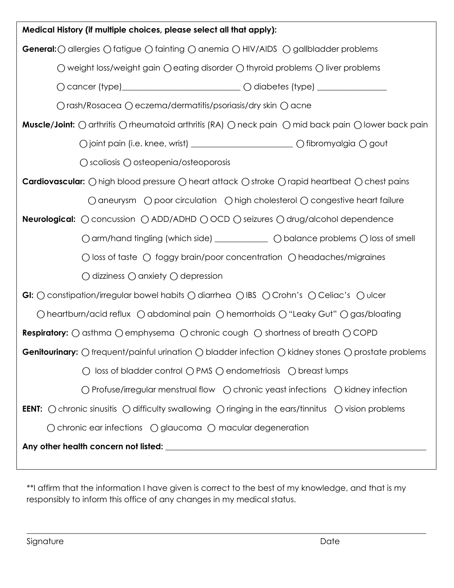| Medical History (if multiple choices, please select all that apply):                                                                                 |  |  |  |
|------------------------------------------------------------------------------------------------------------------------------------------------------|--|--|--|
| <b>General:</b> $\bigcirc$ allergies $\bigcirc$ fatigue $\bigcirc$ fainting $\bigcirc$ anemia $\bigcirc$ HIV/AIDS $\bigcirc$ gallbladder problems    |  |  |  |
| O weight loss/weight gain O eating disorder O thyroid problems O liver problems                                                                      |  |  |  |
|                                                                                                                                                      |  |  |  |
| ○ rash/Rosacea ○ eczema/dermatitis/psoriasis/dry skin ○ acne                                                                                         |  |  |  |
| Muscle/Joint: () arthritis () rheumatoid arthritis (RA) () neck pain () mid back pain () lower back pain                                             |  |  |  |
|                                                                                                                                                      |  |  |  |
| ○ scoliosis ○ osteopenia/osteoporosis                                                                                                                |  |  |  |
| <b>Cardiovascular:</b> $\bigcirc$ high blood pressure $\bigcirc$ heart attack $\bigcirc$ stroke $\bigcirc$ rapid heartbeat $\bigcirc$ chest pains    |  |  |  |
| $\bigcirc$ aneurysm $\bigcirc$ poor circulation $\bigcirc$ high cholesterol $\bigcirc$ congestive heart failure                                      |  |  |  |
| <b>Neurological:</b> $\bigcirc$ concussion $\bigcirc$ ADD/ADHD $\bigcirc$ OCD $\bigcirc$ seizures $\bigcirc$ drug/alcohol dependence                 |  |  |  |
| O arm/hand tingling (which side) ___________ O balance problems O loss of smell                                                                      |  |  |  |
| $\bigcirc$ loss of taste $\bigcirc$ foggy brain/poor concentration $\bigcirc$ headaches/migraines                                                    |  |  |  |
| $\bigcirc$ dizziness $\bigcirc$ anxiety $\bigcirc$ depression                                                                                        |  |  |  |
| <b>GI:</b> $\bigcirc$ constipation/irregular bowel habits $\bigcirc$ diarrhea $\bigcirc$ IBS $\bigcirc$ Crohn's $\bigcirc$ Celiac's $\bigcirc$ ulcer |  |  |  |
| ○ heartburn/acid reflux ○ abdominal pain ○ hemorrhoids ○ "Leaky Gut" ○ gas/bloating                                                                  |  |  |  |
| <b>Respiratory:</b> $\bigcirc$ asthma $\bigcirc$ emphysema $\bigcirc$ chronic cough $\bigcirc$ shortness of breath $\bigcirc$ COPD                   |  |  |  |
| <b>Genitourinary:</b> $\bigcirc$ frequent/painful urination $\bigcirc$ bladder infection $\bigcirc$ kidney stones $\bigcirc$ prostate problems       |  |  |  |
| ○ loss of bladder control ○ PMS ○ endometriosis ○ breast lumps                                                                                       |  |  |  |
| ○ Profuse/irregular menstrual flow ○ chronic yeast infections ○ kidney infection                                                                     |  |  |  |
| <b>EENT:</b> $\bigcirc$ chronic sinusitis $\bigcirc$ difficulty swallowing $\bigcirc$ ringing in the ears/tinnitus $\bigcirc$ vision problems        |  |  |  |
| $\bigcirc$ chronic ear infections $\bigcirc$ glaucoma $\bigcirc$ macular degeneration                                                                |  |  |  |
|                                                                                                                                                      |  |  |  |

\*\*I affirm that the information I have given is correct to the best of my knowledge, and that is my responsibly to inform this office of any changes in my medical status.

 $\_$  , and the set of the set of the set of the set of the set of the set of the set of the set of the set of the set of the set of the set of the set of the set of the set of the set of the set of the set of the set of th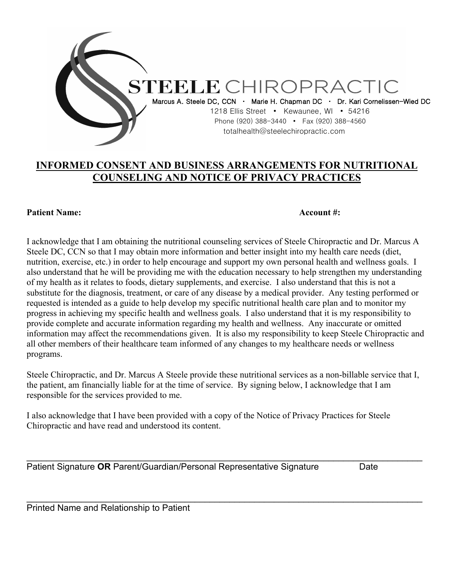

## **INFORMED CONSENT AND BUSINESS ARRANGEMENTS FOR NUTRITIONAL COUNSELING AND NOTICE OF PRIVACY PRACTICES**

### **Patient Name:** Account #:

I acknowledge that I am obtaining the nutritional counseling services of Steele Chiropractic and Dr. Marcus A Steele DC, CCN so that I may obtain more information and better insight into my health care needs (diet, nutrition, exercise, etc.) in order to help encourage and support my own personal health and wellness goals. I also understand that he will be providing me with the education necessary to help strengthen my understanding of my health as it relates to foods, dietary supplements, and exercise. I also understand that this is not a substitute for the diagnosis, treatment, or care of any disease by a medical provider. Any testing performed or requested is intended as a guide to help develop my specific nutritional health care plan and to monitor my progress in achieving my specific health and wellness goals. I also understand that it is my responsibility to provide complete and accurate information regarding my health and wellness. Any inaccurate or omitted information may affect the recommendations given. It is also my responsibility to keep Steele Chiropractic and all other members of their healthcare team informed of any changes to my healthcare needs or wellness programs.

Steele Chiropractic, and Dr. Marcus A Steele provide these nutritional services as a non-billable service that I, the patient, am financially liable for at the time of service. By signing below, I acknowledge that I am responsible for the services provided to me.

\_\_\_\_\_\_\_\_\_\_\_\_\_\_\_\_\_\_\_\_\_\_\_\_\_\_\_\_\_\_\_\_\_\_\_\_\_\_\_\_\_\_\_\_\_\_\_\_\_\_\_\_\_\_\_\_\_\_\_\_\_\_\_\_\_\_\_\_\_\_\_\_\_\_\_\_\_\_\_\_

\_\_\_\_\_\_\_\_\_\_\_\_\_\_\_\_\_\_\_\_\_\_\_\_\_\_\_\_\_\_\_\_\_\_\_\_\_\_\_\_\_\_\_\_\_\_\_\_\_\_\_\_\_\_\_\_\_\_\_\_\_\_\_\_\_\_\_\_\_\_\_\_\_\_\_\_\_\_\_\_

I also acknowledge that I have been provided with a copy of the Notice of Privacy Practices for Steele Chiropractic and have read and understood its content.

Patient Signature **OR** Parent/Guardian/Personal Representative Signature Date

Printed Name and Relationship to Patient